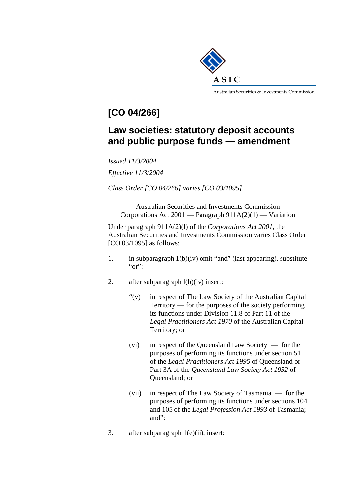

## **[CO 04/266]**

## **Law societies: statutory deposit accounts and public purpose funds — amendment**

*Issued 11/3/2004 Effective 11/3/2004* 

*Class Order [CO 04/266] varies [CO 03/1095].* 

Australian Securities and Investments Commission Corporations Act 2001 — Paragraph  $911A(2)(1)$  — Variation

Under paragraph 911A(2)(l) of the *Corporations Act 2001,* the Australian Securities and Investments Commission varies Class Order [CO 03/1095] as follows:

- 1. in subparagraph 1(b)(iv) omit "and" (last appearing), substitute "or":
- 2. after subparagraph l(b)(iv) insert:
	- "(v) in respect of The Law Society of the Australian Capital Territory — for the purposes of the society performing its functions under Division 11.8 of Part 11 of the *Legal Practitioners Act 1970* of the Australian Capital Territory; or
	- (vi) in respect of the Queensland Law Society for the purposes of performing its functions under section 51 of the *Legal Practitioners Act 1995* of Queensland or Part 3A of the *Queensland Law Society Act 1952* of Queensland; or
	- (vii) in respect of The Law Society of Tasmania for the purposes of performing its functions under sections 104 and 105 of the *Legal Profession Act 1993* of Tasmania; and":
- 3. after subparagraph 1(e)(ii), insert: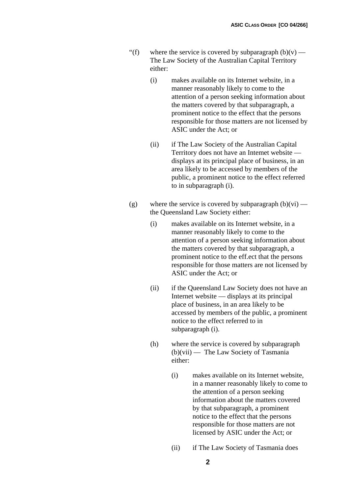- "(f) where the service is covered by subparagraph  $(b)(v)$  The Law Society of the Australian Capital Territory either:
	- (i) makes available on its Internet website, in a manner reasonably likely to come to the attention of a person seeking information about the matters covered by that subparagraph, a prominent notice to the effect that the persons responsible for those matters are not licensed by ASIC under the Act; or
	- (ii) if The Law Society of the Australian Capital Territory does not have an Intemet website displays at its principal place of business, in an area likely to be accessed by members of the public, a prominent notice to the effect referred to in subparagraph (i).
- (g) where the service is covered by subparagraph  $(b)(vi)$  the Queensland Law Society either:
	- (i) makes available on its Internet website, in a manner reasonably likely to come to the attention of a person seeking information about the matters covered by that subparagraph, a prominent notice to the eff.ect that the persons responsible for those matters are not licensed by ASIC under the Act; or
	- (ii) if the Queensland Law Society does not have an Internet website — displays at its principal place of business, in an area likely to be accessed by members of the public, a prominent notice to the effect referred to in subparagraph (i).
	- (h) where the service is covered by subparagraph (b)(vii) — The Law Society of Tasmania either:
		- (i) makes available on its Internet website, in a manner reasonably likely to come to the attention of a person seeking information about the matters covered by that subparagraph, a prominent notice to the effect that the persons responsible for those matters are not licensed by ASIC under the Act; or
		- (ii) if The Law Society of Tasmania does